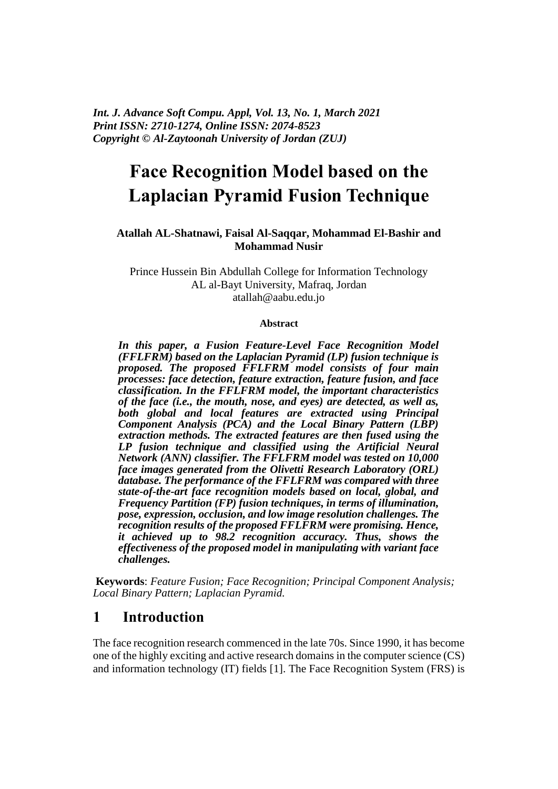*Int. J. Advance Soft Compu. Appl, Vol. 13, No. 1, March 2021 Print ISSN: 2710-1274, Online ISSN: 2074-8523 Copyright © Al-Zaytoonah University of Jordan (ZUJ)*

# **Face Recognition Model based on the Laplacian Pyramid Fusion Technique**

### **Atallah AL-Shatnawi, Faisal Al-Saqqar, Mohammad El-Bashir and Mohammad Nusir**

Prince Hussein Bin Abdullah College for Information Technology AL al-Bayt University, Mafraq, Jordan atallah@aabu.edu.jo

#### **Abstract**

*In this paper, a Fusion Feature-Level Face Recognition Model (FFLFRM) based on the Laplacian Pyramid (LP) fusion technique is proposed. The proposed FFLFRM model consists of four main processes: face detection, feature extraction, feature fusion, and face classification. In the FFLFRM model, the important characteristics of the face (i.e., the mouth, nose, and eyes) are detected, as well as, both global and local features are extracted using Principal Component Analysis (PCA) and the Local Binary Pattern (LBP) extraction methods. The extracted features are then fused using the LP fusion technique and classified using the Artificial Neural Network (ANN) classifier. The FFLFRM model was tested on 10,000 face images generated from the Olivetti Research Laboratory (ORL) database. The performance of the FFLFRM was compared with three state-of-the-art face recognition models based on local, global, and Frequency Partition (FP) fusion techniques, in terms of illumination, pose, expression, occlusion, and low image resolution challenges. The recognition results of the proposed FFLFRM were promising. Hence, it achieved up to 98.2 recognition accuracy. Thus, shows the effectiveness of the proposed model in manipulating with variant face challenges.* 

**Keywords**: *Feature Fusion; Face Recognition; Principal Component Analysis; Local Binary Pattern; Laplacian Pyramid.*

### **1 Introduction**

The face recognition research commenced in the late 70s. Since 1990, it has become one of the highly exciting and active research domains in the computer science (CS) and information technology (IT) fields [1]. The Face Recognition System (FRS) is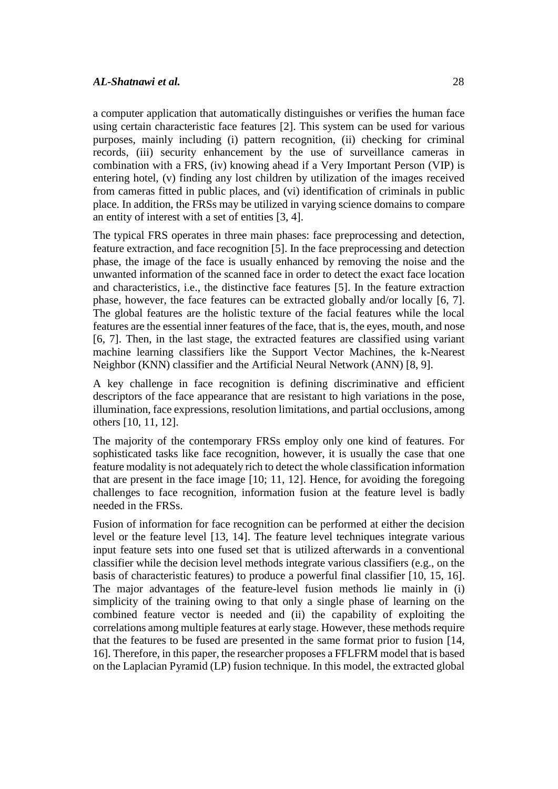a computer application that automatically distinguishes or verifies the human face using certain characteristic face features [2]. This system can be used for various purposes, mainly including (i) pattern recognition, (ii) checking for criminal records, (iii) security enhancement by the use of surveillance cameras in combination with a FRS, (iv) knowing ahead if a Very Important Person (VIP) is entering hotel, (v) finding any lost children by utilization of the images received from cameras fitted in public places, and (vi) identification of criminals in public place. In addition, the FRSs may be utilized in varying science domains to compare an entity of interest with a set of entities [3, 4].

The typical FRS operates in three main phases: face preprocessing and detection, feature extraction, and face recognition [5]. In the face preprocessing and detection phase, the image of the face is usually enhanced by removing the noise and the unwanted information of the scanned face in order to detect the exact face location and characteristics, i.e., the distinctive face features [5]. In the feature extraction phase, however, the face features can be extracted globally and/or locally [6, 7]. The global features are the holistic texture of the facial features while the local features are the essential inner features of the face, that is, the eyes, mouth, and nose [6, 7]. Then, in the last stage, the extracted features are classified using variant machine learning classifiers like the Support Vector Machines, the k-Nearest Neighbor (KNN) classifier and the Artificial Neural Network (ANN) [8, 9].

A key challenge in face recognition is defining discriminative and efficient descriptors of the face appearance that are resistant to high variations in the pose, illumination, face expressions, resolution limitations, and partial occlusions, among others [10, 11, 12].

The majority of the contemporary FRSs employ only one kind of features. For sophisticated tasks like face recognition, however, it is usually the case that one feature modality is not adequately rich to detect the whole classification information that are present in the face image [10; 11, 12]. Hence, for avoiding the foregoing challenges to face recognition, information fusion at the feature level is badly needed in the FRSs.

Fusion of information for face recognition can be performed at either the decision level or the feature level [13, 14]. The feature level techniques integrate various input feature sets into one fused set that is utilized afterwards in a conventional classifier while the decision level methods integrate various classifiers (e.g., on the basis of characteristic features) to produce a powerful final classifier [10, 15, 16]. The major advantages of the feature-level fusion methods lie mainly in (i) simplicity of the training owing to that only a single phase of learning on the combined feature vector is needed and (ii) the capability of exploiting the correlations among multiple features at early stage. However, these methods require that the features to be fused are presented in the same format prior to fusion [14, 16]. Therefore, in this paper, the researcher proposes a FFLFRM model that is based on the Laplacian Pyramid (LP) fusion technique. In this model, the extracted global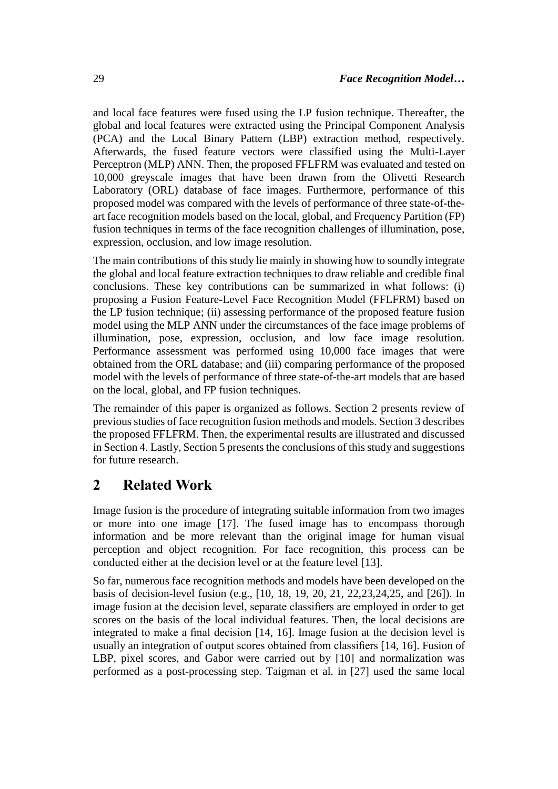and local face features were fused using the LP fusion technique. Thereafter, the global and local features were extracted using the Principal Component Analysis (PCA) and the Local Binary Pattern (LBP) extraction method, respectively. Afterwards, the fused feature vectors were classified using the Multi-Layer Perceptron (MLP) ANN. Then, the proposed FFLFRM was evaluated and tested on 10,000 greyscale images that have been drawn from the Olivetti Research Laboratory (ORL) database of face images. Furthermore, performance of this proposed model was compared with the levels of performance of three state-of-theart face recognition models based on the local, global, and Frequency Partition (FP) fusion techniques in terms of the face recognition challenges of illumination, pose, expression, occlusion, and low image resolution.

The main contributions of this study lie mainly in showing how to soundly integrate the global and local feature extraction techniques to draw reliable and credible final conclusions. These key contributions can be summarized in what follows: (i) proposing a Fusion Feature-Level Face Recognition Model (FFLFRM) based on the LP fusion technique; (ii) assessing performance of the proposed feature fusion model using the MLP ANN under the circumstances of the face image problems of illumination, pose, expression, occlusion, and low face image resolution. Performance assessment was performed using 10,000 face images that were obtained from the ORL database; and (iii) comparing performance of the proposed model with the levels of performance of three state-of-the-art models that are based on the local, global, and FP fusion techniques.

The remainder of this paper is organized as follows. Section 2 presents review of previous studies of face recognition fusion methods and models. Section 3 describes the proposed FFLFRM. Then, the experimental results are illustrated and discussed in Section 4. Lastly, Section 5 presents the conclusions of this study and suggestions for future research.

# **2 Related Work**

Image fusion is the procedure of integrating suitable information from two images or more into one image [17]. The fused image has to encompass thorough information and be more relevant than the original image for human visual perception and object recognition. For face recognition, this process can be conducted either at the decision level or at the feature level [13].

So far, numerous face recognition methods and models have been developed on the basis of decision-level fusion (e.g., [10, 18, 19, 20, 21, 22,23,24,25, and [26]). In image fusion at the decision level, separate classifiers are employed in order to get scores on the basis of the local individual features. Then, the local decisions are integrated to make a final decision [14, 16]. Image fusion at the decision level is usually an integration of output scores obtained from classifiers [14, 16]. Fusion of LBP, pixel scores, and Gabor were carried out by [10] and normalization was performed as a post-processing step. Taigman et al. in [27] used the same local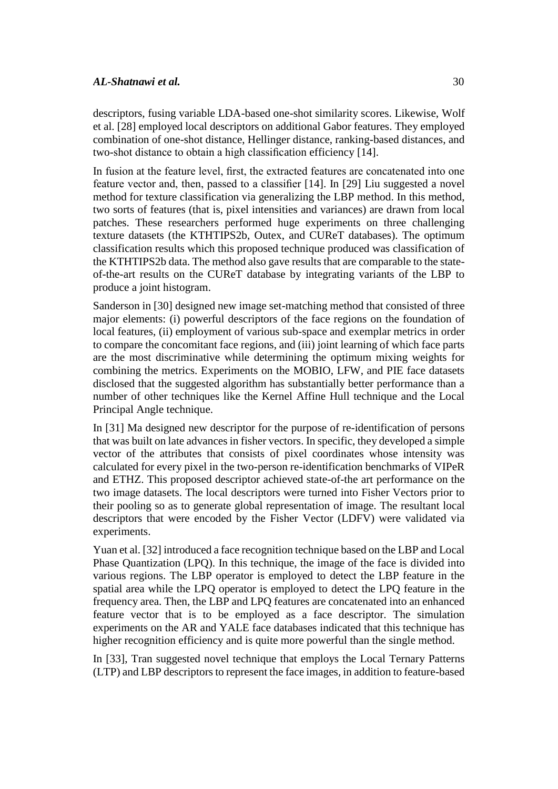#### *AL-Shatnawi et al.* 30

descriptors, fusing variable LDA-based one-shot similarity scores. Likewise, Wolf et al. [28] employed local descriptors on additional Gabor features. They employed combination of one-shot distance, Hellinger distance, ranking-based distances, and two-shot distance to obtain a high classification efficiency [14].

In fusion at the feature level, first, the extracted features are concatenated into one feature vector and, then, passed to a classifier [14]. In [29] Liu suggested a novel method for texture classification via generalizing the LBP method. In this method, two sorts of features (that is, pixel intensities and variances) are drawn from local patches. These researchers performed huge experiments on three challenging texture datasets (the KTHTIPS2b, Outex, and CUReT databases). The optimum classification results which this proposed technique produced was classification of the KTHTIPS2b data. The method also gave results that are comparable to the stateof-the-art results on the CUReT database by integrating variants of the LBP to produce a joint histogram.

Sanderson in [30] designed new image set-matching method that consisted of three major elements: (i) powerful descriptors of the face regions on the foundation of local features, (ii) employment of various sub-space and exemplar metrics in order to compare the concomitant face regions, and (iii) joint learning of which face parts are the most discriminative while determining the optimum mixing weights for combining the metrics. Experiments on the MOBIO, LFW, and PIE face datasets disclosed that the suggested algorithm has substantially better performance than a number of other techniques like the Kernel Affine Hull technique and the Local Principal Angle technique.

In [31] Ma designed new descriptor for the purpose of re-identification of persons that was built on late advances in fisher vectors. In specific, they developed a simple vector of the attributes that consists of pixel coordinates whose intensity was calculated for every pixel in the two-person re-identification benchmarks of VIPeR and ETHZ. This proposed descriptor achieved state-of-the art performance on the two image datasets. The local descriptors were turned into Fisher Vectors prior to their pooling so as to generate global representation of image. The resultant local descriptors that were encoded by the Fisher Vector (LDFV) were validated via experiments.

Yuan et al. [32] introduced a face recognition technique based on the LBP and Local Phase Quantization (LPQ). In this technique, the image of the face is divided into various regions. The LBP operator is employed to detect the LBP feature in the spatial area while the LPQ operator is employed to detect the LPQ feature in the frequency area. Then, the LBP and LPQ features are concatenated into an enhanced feature vector that is to be employed as a face descriptor. The simulation experiments on the AR and YALE face databases indicated that this technique has higher recognition efficiency and is quite more powerful than the single method.

In [33], Tran suggested novel technique that employs the Local Ternary Patterns (LTP) and LBP descriptors to represent the face images, in addition to feature-based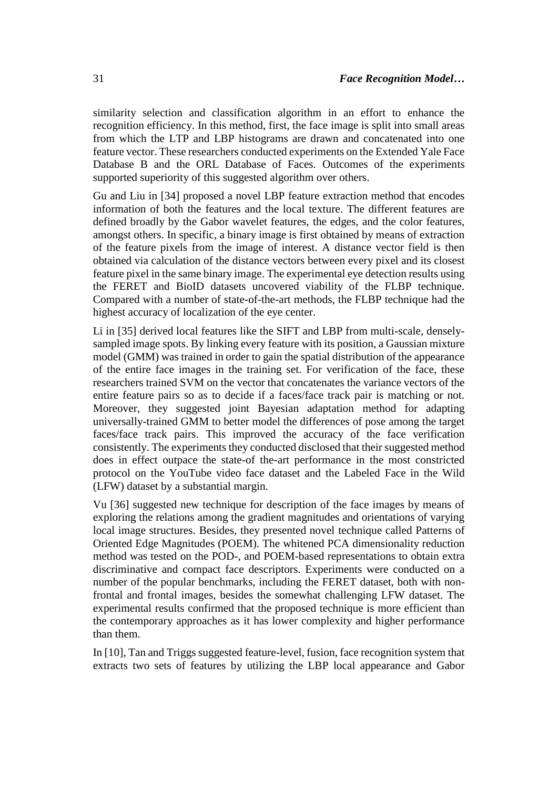similarity selection and classification algorithm in an effort to enhance the recognition efficiency. In this method, first, the face image is split into small areas from which the LTP and LBP histograms are drawn and concatenated into one feature vector. These researchers conducted experiments on the Extended Yale Face Database B and the ORL Database of Faces. Outcomes of the experiments supported superiority of this suggested algorithm over others.

Gu and Liu in [34] proposed a novel LBP feature extraction method that encodes information of both the features and the local texture. The different features are defined broadly by the Gabor wavelet features, the edges, and the color features, amongst others. In specific, a binary image is first obtained by means of extraction of the feature pixels from the image of interest. A distance vector field is then obtained via calculation of the distance vectors between every pixel and its closest feature pixel in the same binary image. The experimental eye detection results using the FERET and BioID datasets uncovered viability of the FLBP technique. Compared with a number of state-of-the-art methods, the FLBP technique had the highest accuracy of localization of the eye center.

Li in [35] derived local features like the SIFT and LBP from multi-scale, denselysampled image spots. By linking every feature with its position, a Gaussian mixture model (GMM) was trained in order to gain the spatial distribution of the appearance of the entire face images in the training set. For verification of the face, these researchers trained SVM on the vector that concatenates the variance vectors of the entire feature pairs so as to decide if a faces/face track pair is matching or not. Moreover, they suggested joint Bayesian adaptation method for adapting universally-trained GMM to better model the differences of pose among the target faces/face track pairs. This improved the accuracy of the face verification consistently. The experiments they conducted disclosed that their suggested method does in effect outpace the state-of the-art performance in the most constricted protocol on the YouTube video face dataset and the Labeled Face in the Wild (LFW) dataset by a substantial margin.

Vu [36] suggested new technique for description of the face images by means of exploring the relations among the gradient magnitudes and orientations of varying local image structures. Besides, they presented novel technique called Patterns of Oriented Edge Magnitudes (POEM). The whitened PCA dimensionality reduction method was tested on the POD-, and POEM-based representations to obtain extra discriminative and compact face descriptors. Experiments were conducted on a number of the popular benchmarks, including the FERET dataset, both with nonfrontal and frontal images, besides the somewhat challenging LFW dataset. The experimental results confirmed that the proposed technique is more efficient than the contemporary approaches as it has lower complexity and higher performance than them.

In [10], Tan and Triggs suggested feature-level, fusion, face recognition system that extracts two sets of features by utilizing the LBP local appearance and Gabor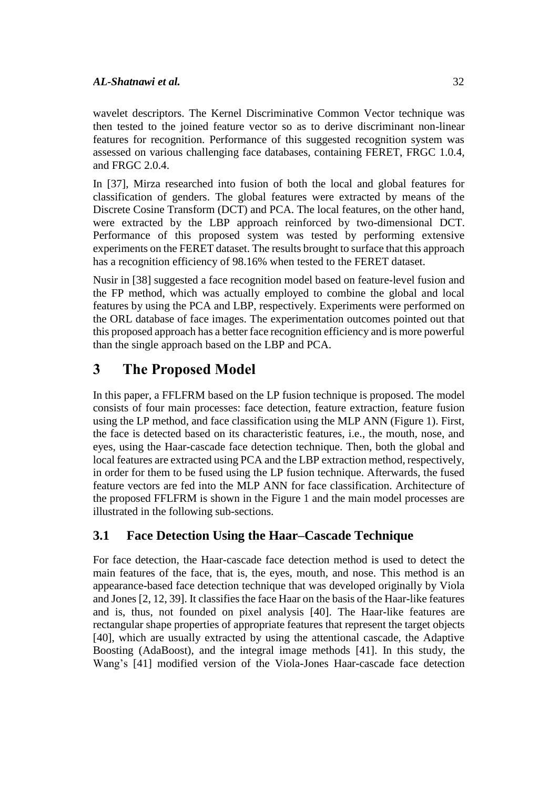wavelet descriptors. The Kernel Discriminative Common Vector technique was then tested to the joined feature vector so as to derive discriminant non-linear features for recognition. Performance of this suggested recognition system was assessed on various challenging face databases, containing FERET, FRGC 1.0.4, and FRGC 2.0.4.

In [37], Mirza researched into fusion of both the local and global features for classification of genders. The global features were extracted by means of the Discrete Cosine Transform (DCT) and PCA. The local features, on the other hand, were extracted by the LBP approach reinforced by two-dimensional DCT. Performance of this proposed system was tested by performing extensive experiments on the FERET dataset. The results brought to surface that this approach has a recognition efficiency of 98.16% when tested to the FERET dataset.

Nusir in [38] suggested a face recognition model based on feature-level fusion and the FP method, which was actually employed to combine the global and local features by using the PCA and LBP, respectively. Experiments were performed on the ORL database of face images. The experimentation outcomes pointed out that this proposed approach has a better face recognition efficiency and is more powerful than the single approach based on the LBP and PCA.

# **3 The Proposed Model**

In this paper, a FFLFRM based on the LP fusion technique is proposed. The model consists of four main processes: face detection, feature extraction, feature fusion using the LP method, and face classification using the MLP ANN (Figure 1). First, the face is detected based on its characteristic features, i.e., the mouth, nose, and eyes, using the Haar-cascade face detection technique. Then, both the global and local features are extracted using PCA and the LBP extraction method, respectively, in order for them to be fused using the LP fusion technique. Afterwards, the fused feature vectors are fed into the MLP ANN for face classification. Architecture of the proposed FFLFRM is shown in the Figure 1 and the main model processes are illustrated in the following sub-sections.

# **3.1 Face Detection Using the Haar–Cascade Technique**

For face detection, the Haar-cascade face detection method is used to detect the main features of the face, that is, the eyes, mouth, and nose. This method is an appearance-based face detection technique that was developed originally by Viola and Jones [2, 12, 39]. It classifies the face Haar on the basis of the Haar-like features and is, thus, not founded on pixel analysis [40]. The Haar-like features are rectangular shape properties of appropriate features that represent the target objects [40], which are usually extracted by using the attentional cascade, the Adaptive Boosting (AdaBoost), and the integral image methods [41]. In this study, the Wang's [41] modified version of the Viola-Jones Haar-cascade face detection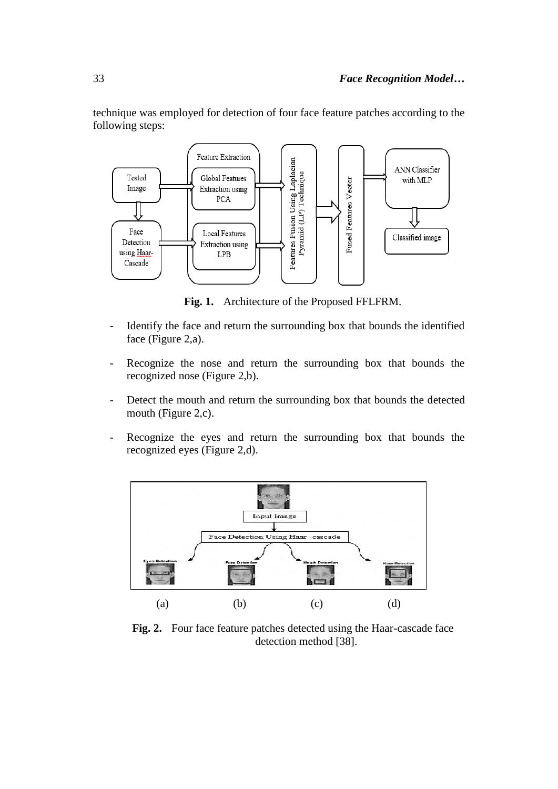technique was employed for detection of four face feature patches according to the following steps: Feature Extraction



**Fig. 1.** Architecture of the Proposed FFLFRM.

- Identify the face and return the surrounding box that bounds the identified face (Figure 2,a).
- Recognize the nose and return the surrounding box that bounds the recognized nose (Figure 2,b).
- Detect the mouth and return the surrounding box that bounds the detected mouth (Figure 2,c).
- Recognize the eyes and return the surrounding box that bounds the recognized eyes (Figure 2,d).



**Fig. 2.** Four face feature patches detected using the Haar-cascade face detection method [38].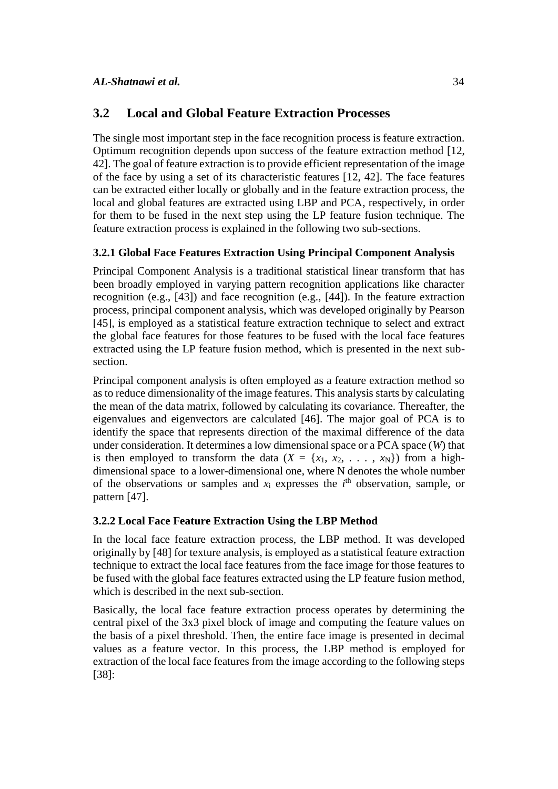### **3.2 Local and Global Feature Extraction Processes**

The single most important step in the face recognition process is feature extraction. Optimum recognition depends upon success of the feature extraction method [12, 42]. The goal of feature extraction is to provide efficient representation of the image of the face by using a set of its characteristic features [12, 42]. The face features can be extracted either locally or globally and in the feature extraction process, the local and global features are extracted using LBP and PCA, respectively, in order for them to be fused in the next step using the LP feature fusion technique. The feature extraction process is explained in the following two sub-sections.

### **3.2.1 Global Face Features Extraction Using Principal Component Analysis**

Principal Component Analysis is a traditional statistical linear transform that has been broadly employed in varying pattern recognition applications like character recognition (e.g., [43]) and face recognition (e.g., [44]). In the feature extraction process, principal component analysis, which was developed originally by Pearson [45], is employed as a statistical feature extraction technique to select and extract the global face features for those features to be fused with the local face features extracted using the LP feature fusion method, which is presented in the next subsection.

Principal component analysis is often employed as a feature extraction method so as to reduce dimensionality of the image features. This analysis starts by calculating the mean of the data matrix, followed by calculating its covariance. Thereafter, the eigenvalues and eigenvectors are calculated [46]. The major goal of PCA is to identify the space that represents direction of the maximal difference of the data under consideration. It determines a low dimensional space or a PCA space (*W*) that is then employed to transform the data  $(X = \{x_1, x_2, \ldots, x_N\})$  from a highdimensional space to a lower-dimensional one, where N denotes the whole number of the observations or samples and  $x_i$  expresses the  $i<sup>th</sup>$  observation, sample, or pattern [47].

### **3.2.2 Local Face Feature Extraction Using the LBP Method**

In the local face feature extraction process, the LBP method. It was developed originally by [48] for texture analysis, is employed as a statistical feature extraction technique to extract the local face features from the face image for those features to be fused with the global face features extracted using the LP feature fusion method, which is described in the next sub-section.

Basically, the local face feature extraction process operates by determining the central pixel of the 3x3 pixel block of image and computing the feature values on the basis of a pixel threshold. Then, the entire face image is presented in decimal values as a feature vector. In this process, the LBP method is employed for extraction of the local face features from the image according to the following steps [38]: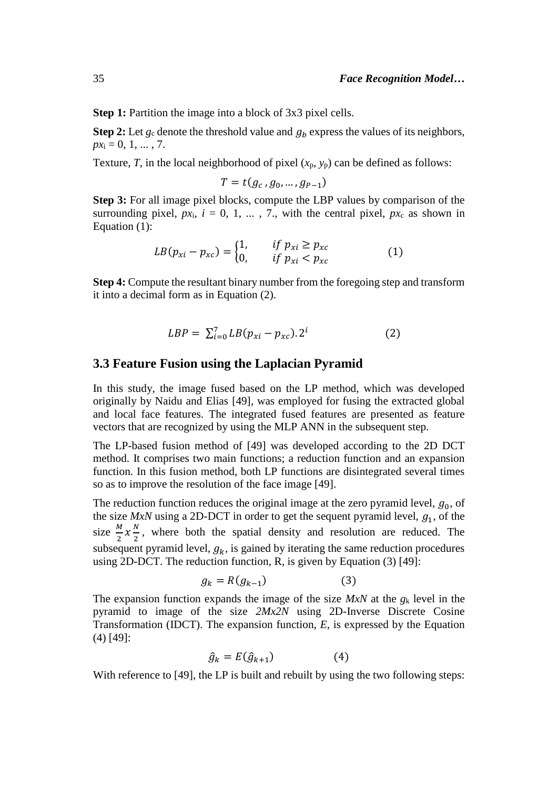**Step 1:** Partition the image into a block of 3x3 pixel cells.

**Step 2:** Let  $g_c$  denote the threshold value and  $g_b$  express the values of its neighbors,  $px_i = 0, 1, ..., 7$ .

Texture, *T*, in the local neighborhood of pixel  $(x_p, y_p)$  can be defined as follows:

$$
T = t(g_c, g_0, \ldots, g_{P-1})
$$

**Step 3:** For all image pixel blocks, compute the LBP values by comparison of the surrounding pixel,  $px_i$ ,  $i = 0, 1, \ldots, 7$ , with the central pixel,  $px_c$  as shown in Equation (1):

$$
LB(p_{xi} - p_{xc}) = \begin{cases} 1, & if \ p_{xi} \ge p_{xc} \\ 0, & if \ p_{xi} < p_{xc} \end{cases} \tag{1}
$$

**Step 4:** Compute the resultant binary number from the foregoing step and transform it into a decimal form as in Equation (2).

$$
LBP = \sum_{i=0}^{7} LB(p_{xi} - p_{xc}).2^i
$$
 (2)

#### **3.3 Feature Fusion using the Laplacian Pyramid**

In this study, the image fused based on the LP method, which was developed originally by Naidu and Elias [49], was employed for fusing the extracted global and local face features. The integrated fused features are presented as feature vectors that are recognized by using the MLP ANN in the subsequent step.

The LP-based fusion method of [49] was developed according to the 2D DCT method. It comprises two main functions; a reduction function and an expansion function. In this fusion method, both LP functions are disintegrated several times so as to improve the resolution of the face image [49].

The reduction function reduces the original image at the zero pyramid level,  $g_0$ , of the size  $MxN$  using a 2D-DCT in order to get the sequent pyramid level,  $g_1$ , of the size  $\frac{M}{2}x\frac{N}{2}$  $\frac{\pi}{2}$ , where both the spatial density and resolution are reduced. The subsequent pyramid level,  $g_k$ , is gained by iterating the same reduction procedures using 2D-DCT. The reduction function, R, is given by Equation (3) [49]:

$$
g_k = R(g_{k-1})\tag{3}
$$

The expansion function expands the image of the size *MxN* at the *g*<sup>k</sup> level in the pyramid to image of the size *2Mx2N* using 2D-Inverse Discrete Cosine Transformation (IDCT). The expansion function, *E*, is expressed by the Equation (4) [49]:

$$
\hat{g}_k = E(\hat{g}_{k+1}) \tag{4}
$$

With reference to [49], the LP is built and rebuilt by using the two following steps: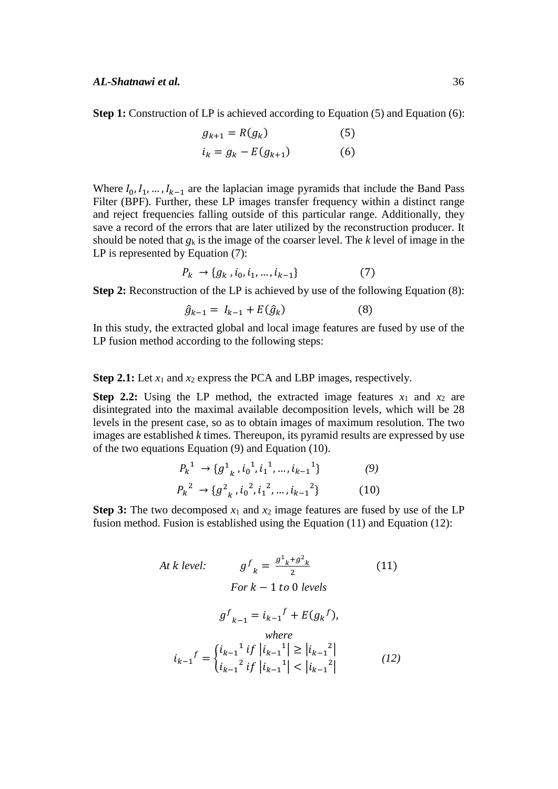**Step 1:** Construction of LP is achieved according to Equation (5) and Equation (6):

$$
g_{k+1} = R(g_k)
$$
 (5)  

$$
i_k = g_k - E(g_{k+1})
$$
 (6)

Where  $I_0, I_1, \ldots, I_{k-1}$  are the laplacian image pyramids that include the Band Pass Filter (BPF). Further, these LP images transfer frequency within a distinct range and reject frequencies falling outside of this particular range. Additionally, they save a record of the errors that are later utilized by the reconstruction producer. It should be noted that *g*<sup>k</sup> is the image of the coarser level. The *k* level of image in the LP is represented by Equation (7):

$$
P_k \to \{g_k, i_0, i_1, \dots, i_{k-1}\} \tag{7}
$$

**Step 2:** Reconstruction of the LP is achieved by use of the following Equation (8):

$$
\hat{g}_{k-1} = I_{k-1} + E(\hat{g}_k)
$$
 (8)

In this study, the extracted global and local image features are fused by use of the LP fusion method according to the following steps:

**Step 2.1:** Let  $x_1$  and  $x_2$  express the PCA and LBP images, respectively.

**Step 2.2:** Using the LP method, the extracted image features  $x_1$  and  $x_2$  are disintegrated into the maximal available decomposition levels, which will be 28 levels in the present case, so as to obtain images of maximum resolution. The two images are established *k* times. Thereupon, its pyramid results are expressed by use of the two equations Equation  $(9)$  and Equation  $(10)$ .

$$
P_k^1 \to \{g^1_{k}, i_0^1, i_1^1, \dots, i_{k-1}^1\} \tag{9}
$$

$$
P_k^2 \to \{g_{k}^2, i_0^2, i_1^2, \dots, i_{k-1}^2\} \tag{10}
$$

**Step 3:** The two decomposed  $x_1$  and  $x_2$  image features are fused by use of the LP fusion method. Fusion is established using the Equation (11) and Equation (12):

At k level: 
$$
g^{f}_{k} = \frac{g^{1}_{k} + g^{2}_{k}}{2}
$$
 (11)  
\n
$$
For k - 1 to 0 levels
$$

$$
g^{f}_{k-1} = i_{k-1}f + E(g_{k}f),
$$

$$
where
$$

$$
i_{k-1}f = \begin{cases} i_{k-1}^{1} if |i_{k-1}^{1}| \ge |i_{k-1}^{2}| \\ i_{k-1}^{2} if |i_{k-1}^{1}| < |i_{k-1}^{2}| \end{cases}
$$
 (12)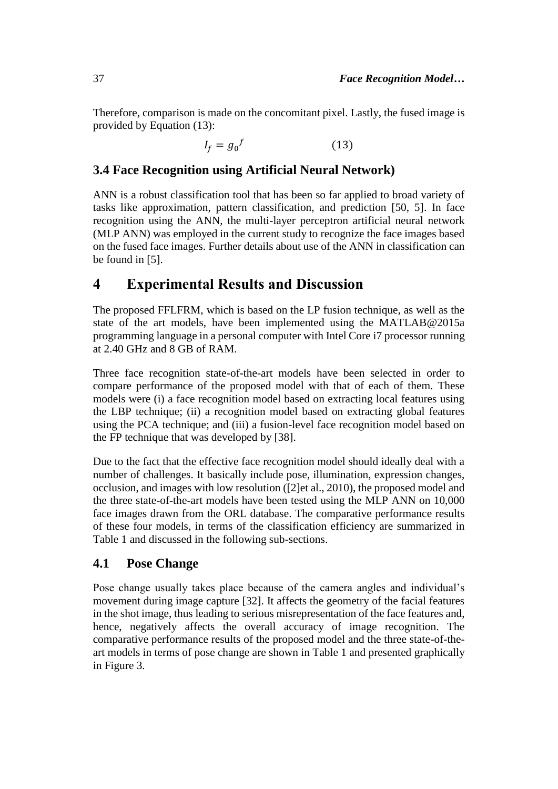Therefore, comparison is made on the concomitant pixel. Lastly, the fused image is provided by Equation (13):

> $I_f = g_0^f$ (13)

### **3.4 Face Recognition using Artificial Neural Network)**

ANN is a robust classification tool that has been so far applied to broad variety of tasks like approximation, pattern classification, and prediction [50, 5]. In face recognition using the ANN, the multi-layer perceptron artificial neural network (MLP ANN) was employed in the current study to recognize the face images based on the fused face images. Further details about use of the ANN in classification can be found in [5].

# **4 Experimental Results and Discussion**

The proposed FFLFRM, which is based on the LP fusion technique, as well as the state of the art models, have been implemented using the MATLAB@2015a programming language in a personal computer with Intel Core i7 processor running at 2.40 GHz and 8 GB of RAM.

Three face recognition state-of-the-art models have been selected in order to compare performance of the proposed model with that of each of them. These models were (i) a face recognition model based on extracting local features using the LBP technique; (ii) a recognition model based on extracting global features using the PCA technique; and (iii) a fusion-level face recognition model based on the FP technique that was developed by [38].

Due to the fact that the effective face recognition model should ideally deal with a number of challenges. It basically include pose, illumination, expression changes, occlusion, and images with low resolution ([2]et al., 2010), the proposed model and the three state-of-the-art models have been tested using the MLP ANN on 10,000 face images drawn from the ORL database. The comparative performance results of these four models, in terms of the classification efficiency are summarized in Table 1 and discussed in the following sub-sections.

### **4.1 Pose Change**

Pose change usually takes place because of the camera angles and individual's movement during image capture [32]. It affects the geometry of the facial features in the shot image, thus leading to serious misrepresentation of the face features and, hence, negatively affects the overall accuracy of image recognition. The comparative performance results of the proposed model and the three state-of-theart models in terms of pose change are shown in Table 1 and presented graphically in Figure 3.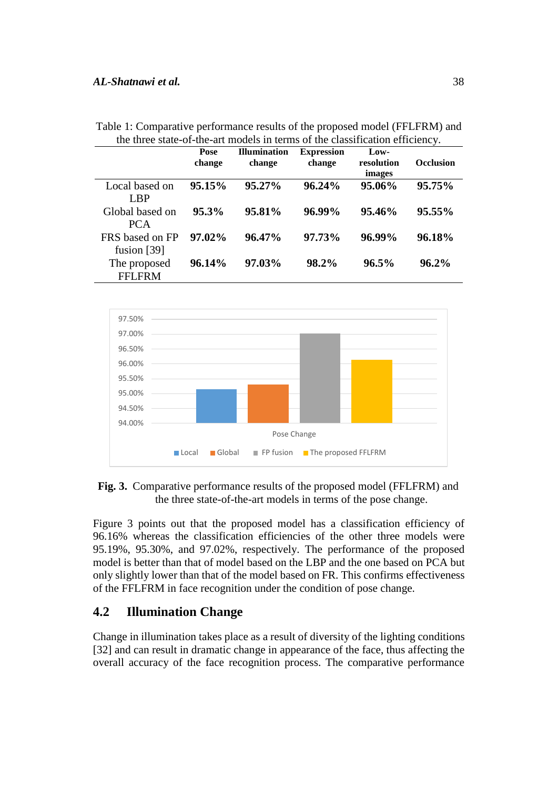#### *AL-Shatnawi et al.* 38

| the three state-of-the-art moders in terms of the classification chreteney. |                |                               |                             |                              |                  |
|-----------------------------------------------------------------------------|----------------|-------------------------------|-----------------------------|------------------------------|------------------|
|                                                                             | Pose<br>change | <b>Illumination</b><br>change | <b>Expression</b><br>change | Low-<br>resolution<br>images | <b>Occlusion</b> |
| Local based on                                                              | 95.15%         | $95.27\%$                     | $96.24\%$                   | 95.06%                       | 95.75%           |
| <b>LBP</b>                                                                  |                |                               |                             |                              |                  |
| Global based on                                                             | $95.3\%$       | 95.81%                        | 96.99%                      | 95.46%                       | 95.55%           |
| <b>PCA</b>                                                                  |                |                               |                             |                              |                  |
| FRS based on FP                                                             | 97.02%         | 96.47%                        | 97.73%                      | 96.99%                       | 96.18%           |
| fusion $[39]$                                                               |                |                               |                             |                              |                  |
| The proposed                                                                | 96.14%         | 97.03%                        | 98.2%                       | $96.5\%$                     | 96.2%            |
| <b>FFLFRM</b>                                                               |                |                               |                             |                              |                  |

Table 1: Comparative performance results of the proposed model (FFLFRM) and the three state-of-the-art models in terms of the classification efficiency.



**Fig. 3.** Comparative performance results of the proposed model (FFLFRM) and the three state-of-the-art models in terms of the pose change.

Figure 3 points out that the proposed model has a classification efficiency of 96.16% whereas the classification efficiencies of the other three models were 95.19%, 95.30%, and 97.02%, respectively. The performance of the proposed model is better than that of model based on the LBP and the one based on PCA but only slightly lower than that of the model based on FR. This confirms effectiveness of the FFLFRM in face recognition under the condition of pose change.

### **4.2 Illumination Change**

Change in illumination takes place as a result of diversity of the lighting conditions [32] and can result in dramatic change in appearance of the face, thus affecting the overall accuracy of the face recognition process. The comparative performance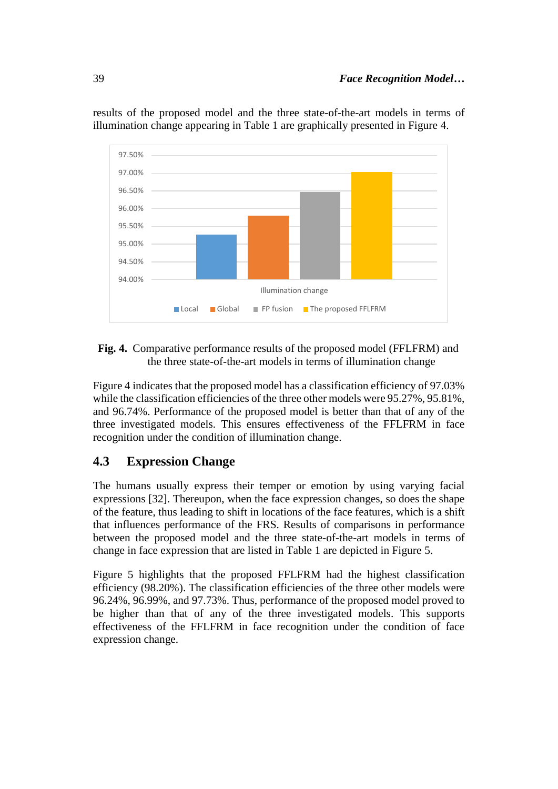

results of the proposed model and the three state-of-the-art models in terms of illumination change appearing in Table 1 are graphically presented in Figure 4.

### **Fig. 4.** Comparative performance results of the proposed model (FFLFRM) and the three state-of-the-art models in terms of illumination change

Figure 4 indicates that the proposed model has a classification efficiency of 97.03% while the classification efficiencies of the three other models were 95.27%, 95.81%, and 96.74%. Performance of the proposed model is better than that of any of the three investigated models. This ensures effectiveness of the FFLFRM in face recognition under the condition of illumination change.

# **4.3 Expression Change**

The humans usually express their temper or emotion by using varying facial expressions [32]. Thereupon, when the face expression changes, so does the shape of the feature, thus leading to shift in locations of the face features, which is a shift that influences performance of the FRS. Results of comparisons in performance between the proposed model and the three state-of-the-art models in terms of change in face expression that are listed in Table 1 are depicted in Figure 5.

Figure 5 highlights that the proposed FFLFRM had the highest classification efficiency (98.20%). The classification efficiencies of the three other models were 96.24%, 96.99%, and 97.73%. Thus, performance of the proposed model proved to be higher than that of any of the three investigated models. This supports effectiveness of the FFLFRM in face recognition under the condition of face expression change.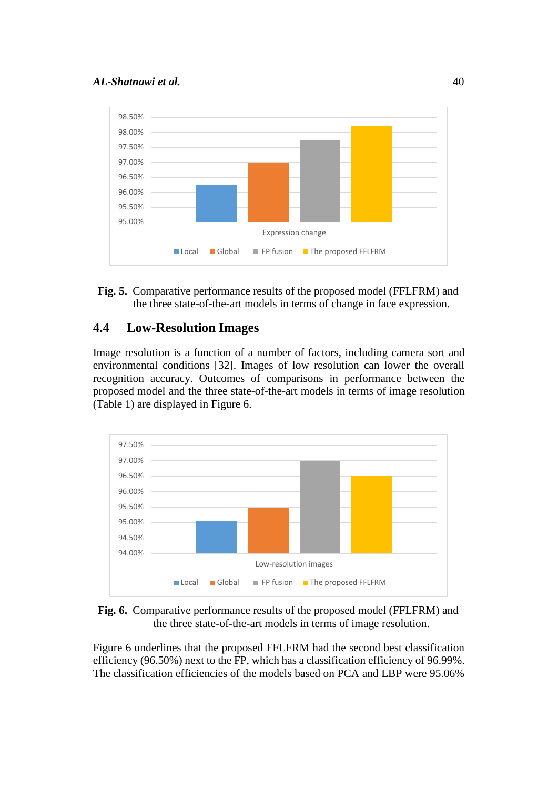

**Fig. 5.** Comparative performance results of the proposed model (FFLFRM) and the three state-of-the-art models in terms of change in face expression.

# **4.4 Low-Resolution Images**

Image resolution is a function of a number of factors, including camera sort and environmental conditions [32]. Images of low resolution can lower the overall recognition accuracy. Outcomes of comparisons in performance between the proposed model and the three state-of-the-art models in terms of image resolution (Table 1) are displayed in Figure 6.



**Fig. 6.** Comparative performance results of the proposed model (FFLFRM) and the three state-of-the-art models in terms of image resolution.

Figure 6 underlines that the proposed FFLFRM had the second best classification efficiency (96.50%) next to the FP, which has a classification efficiency of 96.99%. The classification efficiencies of the models based on PCA and LBP were 95.06%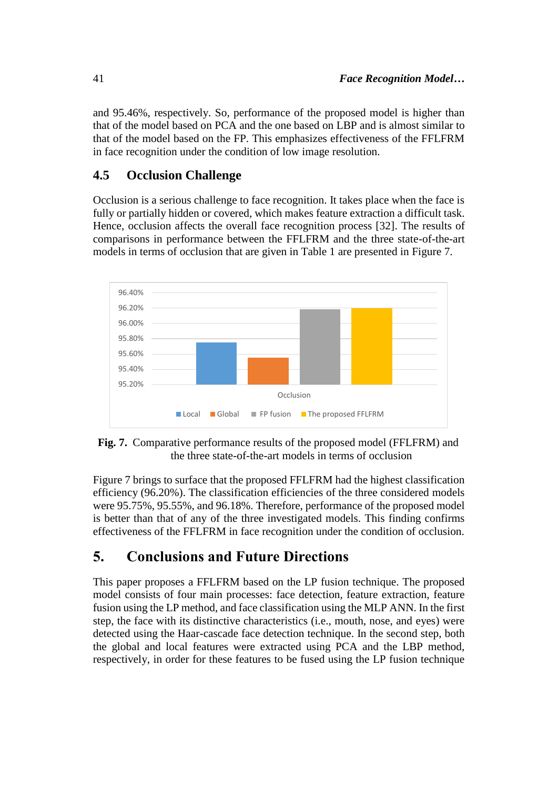and 95.46%, respectively. So, performance of the proposed model is higher than that of the model based on PCA and the one based on LBP and is almost similar to that of the model based on the FP. This emphasizes effectiveness of the FFLFRM in face recognition under the condition of low image resolution.

### **4.5 Occlusion Challenge**

Occlusion is a serious challenge to face recognition. It takes place when the face is fully or partially hidden or covered, which makes feature extraction a difficult task. Hence, occlusion affects the overall face recognition process [32]. The results of comparisons in performance between the FFLFRM and the three state-of-the-art models in terms of occlusion that are given in Table 1 are presented in Figure 7.



**Fig. 7.** Comparative performance results of the proposed model (FFLFRM) and the three state-of-the-art models in terms of occlusion

Figure 7 brings to surface that the proposed FFLFRM had the highest classification efficiency (96.20%). The classification efficiencies of the three considered models were 95.75%, 95.55%, and 96.18%. Therefore, performance of the proposed model is better than that of any of the three investigated models. This finding confirms effectiveness of the FFLFRM in face recognition under the condition of occlusion.

# **5. Conclusions and Future Directions**

This paper proposes a FFLFRM based on the LP fusion technique. The proposed model consists of four main processes: face detection, feature extraction, feature fusion using the LP method, and face classification using the MLP ANN. In the first step, the face with its distinctive characteristics (i.e., mouth, nose, and eyes) were detected using the Haar-cascade face detection technique. In the second step, both the global and local features were extracted using PCA and the LBP method, respectively, in order for these features to be fused using the LP fusion technique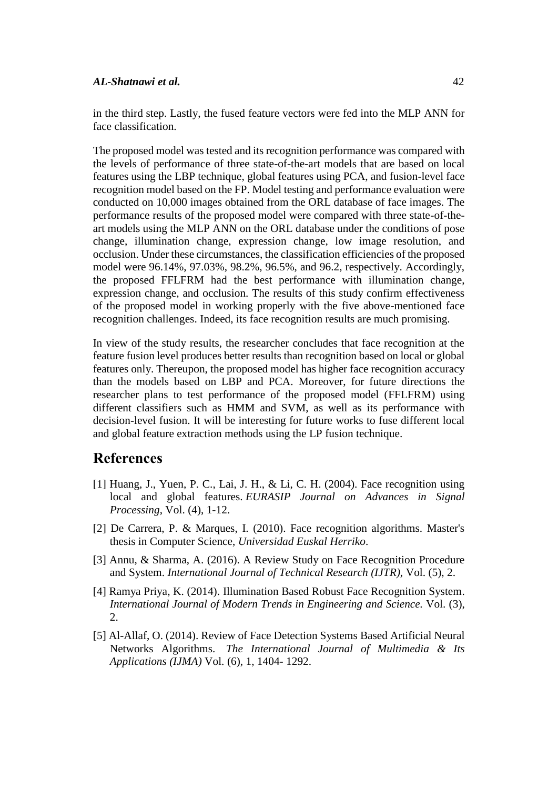in the third step. Lastly, the fused feature vectors were fed into the MLP ANN for face classification.

The proposed model was tested and its recognition performance was compared with the levels of performance of three state-of-the-art models that are based on local features using the LBP technique, global features using PCA, and fusion-level face recognition model based on the FP. Model testing and performance evaluation were conducted on 10,000 images obtained from the ORL database of face images. The performance results of the proposed model were compared with three state-of-theart models using the MLP ANN on the ORL database under the conditions of pose change, illumination change, expression change, low image resolution, and occlusion. Under these circumstances, the classification efficiencies of the proposed model were 96.14%, 97.03%, 98.2%, 96.5%, and 96.2, respectively. Accordingly, the proposed FFLFRM had the best performance with illumination change, expression change, and occlusion. The results of this study confirm effectiveness of the proposed model in working properly with the five above-mentioned face recognition challenges. Indeed, its face recognition results are much promising.

In view of the study results, the researcher concludes that face recognition at the feature fusion level produces better results than recognition based on local or global features only. Thereupon, the proposed model has higher face recognition accuracy than the models based on LBP and PCA. Moreover, for future directions the researcher plans to test performance of the proposed model (FFLFRM) using different classifiers such as HMM and SVM, as well as its performance with decision-level fusion. It will be interesting for future works to fuse different local and global feature extraction methods using the LP fusion technique.

# **References**

- [1] Huang, J., Yuen, P. C., Lai, J. H., & Li, C. H. (2004). Face recognition using local and global features. *EURASIP Journal on Advances in Signal Processing*, Vol. (4), 1-12.
- [2] De Carrera, P. & Marques, I. (2010). Face recognition algorithms. Master's thesis in Computer Science, *Universidad Euskal Herriko*.
- [3] Annu, & Sharma, A. (2016). A Review Study on Face Recognition Procedure and System. *International Journal of Technical Research (IJTR),* Vol. (5), 2.
- [4] Ramya Priya, K. (2014). Illumination Based Robust Face Recognition System. *International Journal of Modern Trends in Engineering and Science.* Vol. (3), 2.
- [5] Al-Allaf, O. (2014). Review of Face Detection Systems Based Artificial Neural Networks Algorithms. *The International Journal of Multimedia & Its Applications (IJMA)* Vol. (6), 1, 1404- 1292.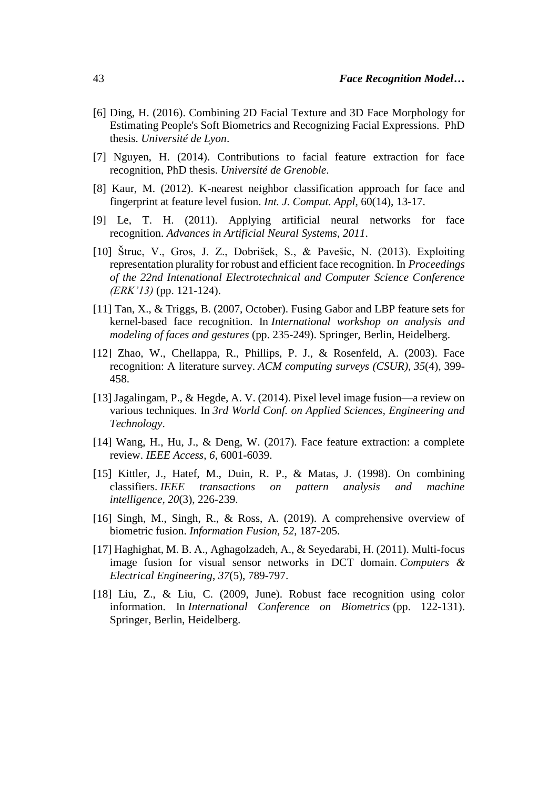- [6] Ding, H. (2016). Combining 2D Facial Texture and 3D Face Morphology for Estimating People's Soft Biometrics and Recognizing Facial Expressions. PhD thesis. *Université de Lyon*.
- [7] Nguyen, H. (2014). Contributions to facial feature extraction for face recognition, PhD thesis. *Université de Grenoble*.
- [8] Kaur, M. (2012). K-nearest neighbor classification approach for face and fingerprint at feature level fusion. *Int. J. Comput. Appl*, 60(14), 13-17.
- [9] Le, T. H. (2011). Applying artificial neural networks for face recognition. *Advances in Artificial Neural Systems*, *2011*.
- [10] Štruc, V., Gros, J. Z., Dobrišek, S., & Pavešic, N. (2013). Exploiting representation plurality for robust and efficient face recognition. In *Proceedings of the 22nd Intenational Electrotechnical and Computer Science Conference (ERK'13)* (pp. 121-124).
- [11] Tan, X., & Triggs, B. (2007, October). Fusing Gabor and LBP feature sets for kernel-based face recognition. In *International workshop on analysis and modeling of faces and gestures* (pp. 235-249). Springer, Berlin, Heidelberg.
- [12] Zhao, W., Chellappa, R., Phillips, P. J., & Rosenfeld, A. (2003). Face recognition: A literature survey. *ACM computing surveys (CSUR)*, *35*(4), 399- 458.
- [13] Jagalingam, P., & Hegde, A. V. (2014). Pixel level image fusion—a review on various techniques. In *3rd World Conf. on Applied Sciences, Engineering and Technology*.
- [14] Wang, H., Hu, J., & Deng, W. (2017). Face feature extraction: a complete review. *IEEE Access*, *6*, 6001-6039.
- [15] Kittler, J., Hatef, M., Duin, R. P., & Matas, J. (1998). On combining classifiers. *IEEE transactions on pattern analysis and machine intelligence*, *20*(3), 226-239.
- [16] Singh, M., Singh, R., & Ross, A. (2019). A comprehensive overview of biometric fusion. *Information Fusion*, *52*, 187-205.
- [17] Haghighat, M. B. A., Aghagolzadeh, A., & Seyedarabi, H. (2011). Multi-focus image fusion for visual sensor networks in DCT domain. *Computers & Electrical Engineering*, *37*(5), 789-797.
- [18] Liu, Z., & Liu, C. (2009, June). Robust face recognition using color information. In *International Conference on Biometrics* (pp. 122-131). Springer, Berlin, Heidelberg.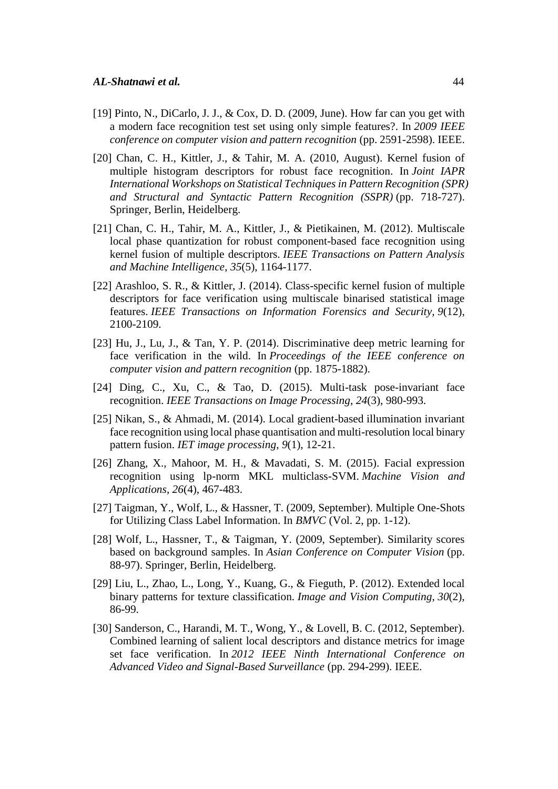- [19] Pinto, N., DiCarlo, J. J.,  $\&$  Cox, D. D. (2009, June). How far can you get with a modern face recognition test set using only simple features?. In *2009 IEEE conference on computer vision and pattern recognition* (pp. 2591-2598). IEEE.
- [20] Chan, C. H., Kittler, J., & Tahir, M. A. (2010, August). Kernel fusion of multiple histogram descriptors for robust face recognition. In *Joint IAPR International Workshops on Statistical Techniques in Pattern Recognition (SPR) and Structural and Syntactic Pattern Recognition (SSPR)* (pp. 718-727). Springer, Berlin, Heidelberg.
- [21] Chan, C. H., Tahir, M. A., Kittler, J., & Pietikainen, M. (2012). Multiscale local phase quantization for robust component-based face recognition using kernel fusion of multiple descriptors. *IEEE Transactions on Pattern Analysis and Machine Intelligence*, *35*(5), 1164-1177.
- [22] Arashloo, S. R., & Kittler, J. (2014). Class-specific kernel fusion of multiple descriptors for face verification using multiscale binarised statistical image features. *IEEE Transactions on Information Forensics and Security*, *9*(12), 2100-2109.
- [23] Hu, J., Lu, J., & Tan, Y. P. (2014). Discriminative deep metric learning for face verification in the wild. In *Proceedings of the IEEE conference on computer vision and pattern recognition* (pp. 1875-1882).
- [24] Ding, C., Xu, C., & Tao, D. (2015). Multi-task pose-invariant face recognition. *IEEE Transactions on Image Processing*, *24*(3), 980-993.
- [25] Nikan, S., & Ahmadi, M. (2014). Local gradient-based illumination invariant face recognition using local phase quantisation and multi-resolution local binary pattern fusion. *IET image processing*, *9*(1), 12-21.
- [26] Zhang, X., Mahoor, M. H., & Mavadati, S. M. (2015). Facial expression recognition using lp-norm MKL multiclass-SVM. *Machine Vision and Applications*, *26*(4), 467-483.
- [27] Taigman, Y., Wolf, L., & Hassner, T. (2009, September). Multiple One-Shots for Utilizing Class Label Information. In *BMVC* (Vol. 2, pp. 1-12).
- [28] Wolf, L., Hassner, T., & Taigman, Y. (2009, September). Similarity scores based on background samples. In *Asian Conference on Computer Vision* (pp. 88-97). Springer, Berlin, Heidelberg.
- [29] Liu, L., Zhao, L., Long, Y., Kuang, G., & Fieguth, P. (2012). Extended local binary patterns for texture classification. *Image and Vision Computing*, *30*(2), 86-99.
- [30] Sanderson, C., Harandi, M. T., Wong, Y., & Lovell, B. C. (2012, September). Combined learning of salient local descriptors and distance metrics for image set face verification. In *2012 IEEE Ninth International Conference on Advanced Video and Signal-Based Surveillance* (pp. 294-299). IEEE.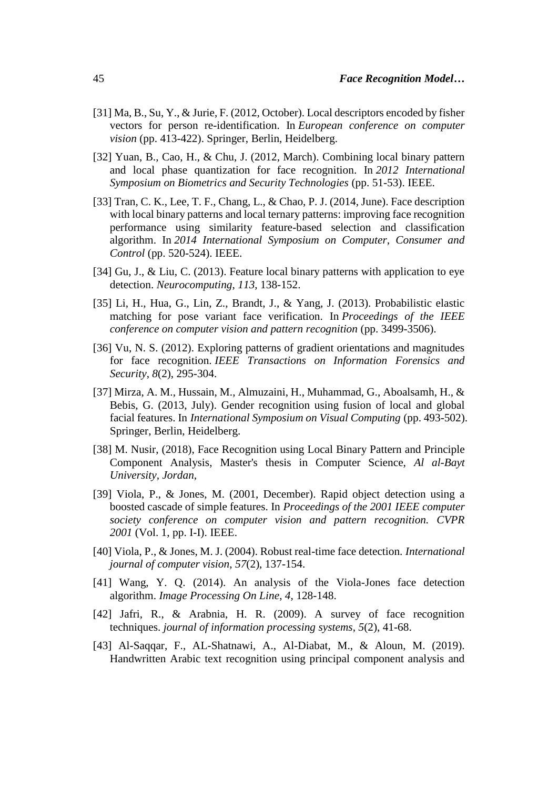- [31] Ma, B., Su, Y., & Jurie, F. (2012, October). Local descriptors encoded by fisher vectors for person re-identification. In *European conference on computer vision* (pp. 413-422). Springer, Berlin, Heidelberg.
- [32] Yuan, B., Cao, H., & Chu, J. (2012, March). Combining local binary pattern and local phase quantization for face recognition. In *2012 International Symposium on Biometrics and Security Technologies* (pp. 51-53). IEEE.
- [33] Tran, C. K., Lee, T. F., Chang, L., & Chao, P. J. (2014, June). Face description with local binary patterns and local ternary patterns: improving face recognition performance using similarity feature-based selection and classification algorithm. In *2014 International Symposium on Computer, Consumer and Control* (pp. 520-524). IEEE.
- [34] Gu, J., & Liu, C. (2013). Feature local binary patterns with application to eye detection. *Neurocomputing*, *113*, 138-152.
- [35] Li, H., Hua, G., Lin, Z., Brandt, J., & Yang, J. (2013). Probabilistic elastic matching for pose variant face verification. In *Proceedings of the IEEE conference on computer vision and pattern recognition* (pp. 3499-3506).
- [36] Vu, N. S. (2012). Exploring patterns of gradient orientations and magnitudes for face recognition. *IEEE Transactions on Information Forensics and Security*, *8*(2), 295-304.
- [37] Mirza, A. M., Hussain, M., Almuzaini, H., Muhammad, G., Aboalsamh, H., & Bebis, G. (2013, July). Gender recognition using fusion of local and global facial features. In *International Symposium on Visual Computing* (pp. 493-502). Springer, Berlin, Heidelberg.
- [38] M. Nusir, (2018), Face Recognition using Local Binary Pattern and Principle Component Analysis, Master's thesis in Computer Science, *Al al-Bayt University, Jordan,*
- [39] Viola, P., & Jones, M. (2001, December). Rapid object detection using a boosted cascade of simple features. In *Proceedings of the 2001 IEEE computer society conference on computer vision and pattern recognition. CVPR 2001* (Vol. 1, pp. I-I). IEEE.
- [40] Viola, P., & Jones, M. J. (2004). Robust real-time face detection. *International journal of computer vision*, *57*(2), 137-154.
- [41] Wang, Y. Q. (2014). An analysis of the Viola-Jones face detection algorithm. *Image Processing On Line*, *4*, 128-148.
- [42] Jafri, R., & Arabnia, H. R. (2009). A survey of face recognition techniques. *journal of information processing systems*, *5*(2), 41-68.
- [43] Al-Saqqar, F., AL-Shatnawi, A., Al-Diabat, M., & Aloun, M. (2019). Handwritten Arabic text recognition using principal component analysis and